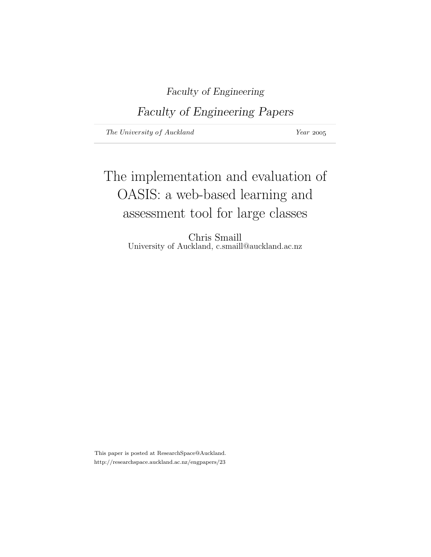Faculty of Engineering

Faculty of Engineering Papers

The University of Auckland Year 2005

# The implementation and evaluation of OASIS: a web-based learning and assessment tool for large classes

Chris Smaill University of Auckland, c.smaill@auckland.ac.nz

This paper is posted at ResearchSpace@Auckland. http://researchspace.auckland.ac.nz/engpapers/23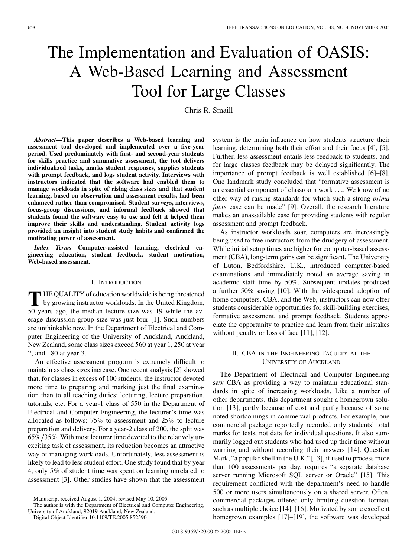# The Implementation and Evaluation of OASIS: A Web-Based Learning and Assessment Tool for Large Classes

Chris R. Smaill

*Abstract—***This paper describes a Web-based learning and assessment tool developed and implemented over a five-year period. Used predominately with first- and second-year students for skills practice and summative assessment, the tool delivers individualized tasks, marks student responses, supplies students with prompt feedback, and logs student activity. Interviews with instructors indicated that the software had enabled them to manage workloads in spite of rising class sizes and that student learning, based on observation and assessment results, had been enhanced rather than compromised. Student surveys, interviews, focus-group discussions, and informal feedback showed that students found the software easy to use and felt it helped them improve their skills and understanding. Student activity logs provided an insight into student study habits and confirmed the motivating power of assessment.**

*Index Terms—***Computer-assisted learning, electrical engineering education, student feedback, student motivation, Web-based assessment.**

### I. INTRODUCTION

**T** HE QUALITY of education worldwide is being threatened by growing instructor workloads. In the United Kingdom, 50 years ago, the median lecture size was 19 while the average discussion group size was just four [1]. Such numbers are unthinkable now. In the Department of Electrical and Computer Engineering of the University of Auckland, Auckland, New Zealand, some class sizes exceed 560 at year 1, 250 at year 2, and 180 at year 3.

An effective assessment program is extremely difficult to maintain as class sizes increase. One recent analysis [2] showed that, for classes in excess of 100 students, the instructor devoted more time to preparing and marking just the final examination than to all teaching duties: lecturing, lecture preparation, tutorials, etc. For a year-1 class of 550 in the Department of Electrical and Computer Engineering, the lecturer's time was allocated as follows: 75% to assessment and 25% to lecture preparation and delivery. For a year-2 class of 200, the split was 65% 35%. With most lecturer time devoted to the relatively unexciting task of assessment, its reduction becomes an attractive way of managing workloads. Unfortunately, less assessment is likely to lead to less student effort. One study found that by year 4, only 5% of student time was spent on learning unrelated to assessment [3]. Other studies have shown that the assessment

The author is with the Department of Electrical and Computer Engineering, University of Auckland, 92019 Auckland, New Zealand.

Digital Object Identifier 10.1109/TE.2005.852590

system is the main influence on how students structure their learning, determining both their effort and their focus [4], [5]. Further, less assessment entails less feedback to students, and for large classes feedback may be delayed significantly. The importance of prompt feedback is well established [6]–[8]. One landmark study concluded that "formative assessment is an essential component of classroom work . . . We know of no other way of raising standards for which such a strong *prima facie* case can be made" [9]. Overall, the research literature makes an unassailable case for providing students with regular assessment and prompt feedback.

As instructor workloads soar, computers are increasingly being used to free instructors from the drudgery of assessment. While initial setup times are higher for computer-based assessment (CBA), long-term gains can be significant. The University of Luton, Bedfordshire, U.K., introduced computer-based examinations and immediately noted an average saving in academic staff time by 50%. Subsequent updates produced a further 50% saving [10]. With the widespread adoption of home computers, CBA, and the Web, instructors can now offer students considerable opportunities for skill-building exercises, formative assessment, and prompt feedback. Students appreciate the opportunity to practice and learn from their mistakes without penalty or loss of face [11], [12].

## II. CBA IN THE ENGINEERING FACULTY AT THE UNIVERSITY OF AUCKLAND

The Department of Electrical and Computer Engineering saw CBA as providing a way to maintain educational standards in spite of increasing workloads. Like a number of other departments, this department sought a homegrown solution [13], partly because of cost and partly because of some noted shortcomings in commercial products. For example, one commercial package reportedly recorded only students' total marks for tests, not data for individual questions. It also summarily logged out students who had used up their time without warning and without recording their answers [14]. Question Mark, "a popular shell in the U.K." [13], if used to process more than 100 assessments per day, requires "a separate database server running Microsoft SQL server or Oracle" [15]. This requirement conflicted with the department's need to handle 500 or more users simultaneously on a shared server. Often, commercial packages offered only limiting question formats such as multiple choice [14], [16]. Motivated by some excellent homegrown examples [17]–[19], the software was developed

Manuscript received August 1, 2004; revised May 10, 2005.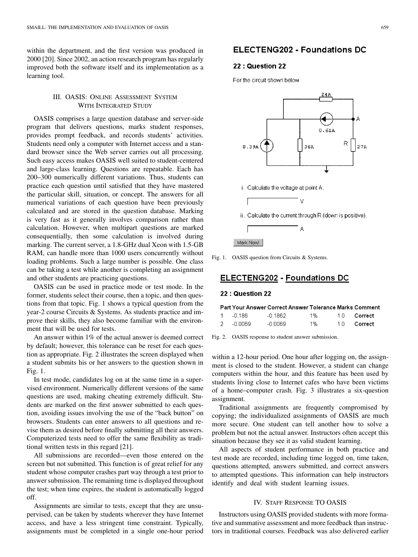within the department, and the first version was produced in 2000 [20]. Since 2002, an action research program has regularly improved both the software itself and its implementation as a learning tool.

# III. OASIS: ONLINE ASSESSMENT SYSTEM WITH INTEGRATED STUDY

OASIS comprises a large question database and server-side program that delivers questions, marks student responses, provides prompt feedback, and records students' activities. Students need only a computer with Internet access and a standard browser since the Web server carries out all processing. Such easy access makes OASIS well suited to student-centered and large-class learning. Questions are repeatable. Each has 200–300 numerically different variations. Thus, students can practice each question until satisfied that they have mastered the particular skill, situation, or concept. The answers for all numerical variations of each question have been previously calculated and are stored in the question database. Marking is very fast as it generally involves comparison rather than calculation. However, when multipart questions are marked consequentially, then some calculation is involved during marking. The current server, a 1.8-GHz dual Xeon with 1.5-GB RAM, can handle more than 1000 users concurrently without loading problems. Such a large number is possible. One class can be taking a test while another is completing an assignment and other students are practicing questions.

OASIS can be used in practice mode or test mode. In the former, students select their course, then a topic, and then questions from that topic. Fig. 1 shows a typical question from the year-2 course Circuits & Systems. As students practice and improve their skills, they also become familiar with the environment that will be used for tests.

An answer within 1% of the actual answer is deemed correct by default; however, this tolerance can be reset for each question as appropriate. Fig. 2 illustrates the screen displayed when a student submits his or her answers to the question shown in Fig. 1.

In test mode, candidates log on at the same time in a supervised environment. Numerically different versions of the same questions are used, making cheating extremely difficult. Students are marked on the first answer submitted to each question, avoiding issues involving the use of the "back button" on browsers. Students can enter answers to all questions and revise them as desired before finally submitting all their answers. Computerized tests need to offer the same flexibility as traditional written tests in this regard [21].

All submissions are recorded—even those entered on the screen but not submitted. This function is of great relief for any student whose computer crashes part way through a test prior to answer submission. The remaining time is displayed throughout the test; when time expires, the student is automatically logged off.

Assignments are similar to tests, except that they are unsupervised, can be taken by students wherever they have Internet access, and have a less stringent time constraint. Typically, assignments must be completed in a single one-hour period

# **ELECTENG202 - Foundations DC**

# 22: Question 22

For the circuit shown below



Mark Now!

Fig. 1. OASIS question from Circuits & Systems.

# **ELECTENG202 - Foundations DC**

## 22: Question 22

|        | Part Your Answer Correct Answer Tolerance Marks Comment |    |            |
|--------|---------------------------------------------------------|----|------------|
| -0.186 | -0.1862.                                                | 1% | 10 Correct |

|  | -0.0069 | $-0.0069$ | 1% |  | 1.0 Correct |
|--|---------|-----------|----|--|-------------|
|--|---------|-----------|----|--|-------------|



within a 12-hour period. One hour after logging on, the assignment is closed to the student. However, a student can change computers within the hour, and this feature has been used by students living close to Internet cafes who have been victims of a home–computer crash. Fig. 3 illustrates a six-question assignment.

Traditional assignments are frequently compromised by copying; the individualized assignments of OASIS are much more secure. One student can tell another how to solve a problem but not the actual answer. Instructors often accept this situation because they see it as valid student learning.

All aspects of student performance in both practice and test mode are recorded, including time logged on, time taken, questions attempted, answers submitted, and correct answers to attempted questions. This information can help instructors identify and deal with student learning issues.

## IV. STAFF RESPONSE TO OASIS

Instructors using OASIS provided students with more formative and summative assessment and more feedback than instructors in traditional courses. Feedback was also delivered earlier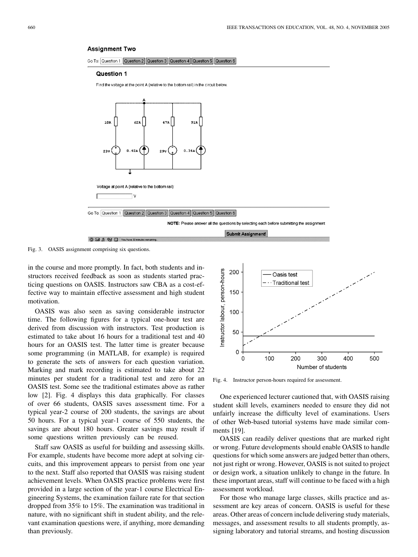#### **Assignment Two**



#### Question 1

Find the voltage at the point A (relative to the bottom rail) in the circuit below



Fig. 3. OASIS assignment comprising six questions.

in the course and more promptly. In fact, both students and instructors received feedback as soon as students started practicing questions on OASIS. Instructors saw CBA as a cost-effective way to maintain effective assessment and high student motivation.

OASIS was also seen as saving considerable instructor time. The following figures for a typical one-hour test are derived from discussion with instructors. Test production is estimated to take about 16 hours for a traditional test and 40 hours for an OASIS test. The latter time is greater because some programming (in MATLAB, for example) is required to generate the sets of answers for each question variation. Marking and mark recording is estimated to take about 22 minutes per student for a traditional test and zero for an OASIS test. Some see the traditional estimates above as rather low [2]. Fig. 4 displays this data graphically. For classes of over 66 students, OASIS saves assessment time. For a typical year-2 course of 200 students, the savings are about 50 hours. For a typical year-1 course of 550 students, the savings are about 180 hours. Greater savings may result if some questions written previously can be reused.

Staff saw OASIS as useful for building and assessing skills. For example, students have become more adept at solving circuits, and this improvement appears to persist from one year to the next. Staff also reported that OASIS was raising student achievement levels. When OASIS practice problems were first provided in a large section of the year-1 course Electrical Engineering Systems, the examination failure rate for that section dropped from 35% to 15%. The examination was traditional in nature, with no significant shift in student ability, and the relevant examination questions were, if anything, more demanding than previously.



Fig. 4. Instructor person-hours required for assessment.

One experienced lecturer cautioned that, with OASIS raising student skill levels, examiners needed to ensure they did not unfairly increase the difficulty level of examinations. Users of other Web-based tutorial systems have made similar comments [19].

OASIS can readily deliver questions that are marked right or wrong. Future developments should enable OASIS to handle questions for which some answers are judged better than others, not just right or wrong. However, OASIS is not suited to project or design work, a situation unlikely to change in the future. In these important areas, staff will continue to be faced with a high assessment workload.

For those who manage large classes, skills practice and assessment are key areas of concern. OASIS is useful for these areas. Other areas of concern include delivering study materials, messages, and assessment results to all students promptly, assigning laboratory and tutorial streams, and hosting discussion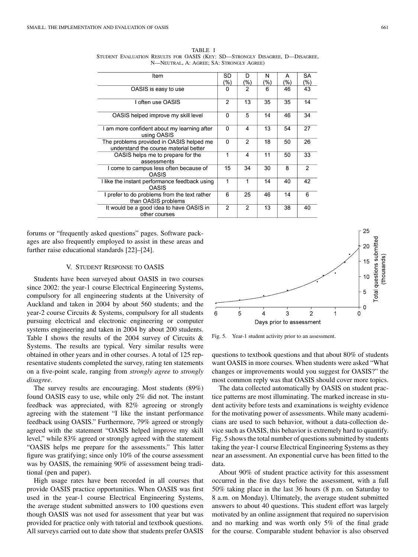| ltem                                                                              |                | D              | N   | А   | SA             |
|-----------------------------------------------------------------------------------|----------------|----------------|-----|-----|----------------|
|                                                                                   | (%)            | (%)            | (%) | (%) | (%)            |
| OASIS is easy to use                                                              | 0              | $\overline{2}$ | 6   | 46  | 43             |
| I often use OASIS                                                                 | $\overline{2}$ | 13             | 35  | 35  | 14             |
| OASIS helped improve my skill level                                               | 0              | 5              | 14  | 46  | 34             |
| I am more confident about my learning after<br>using OASIS                        | $\Omega$       | 4              | 13  | 54  | 27             |
| The problems provided in OASIS helped me<br>understand the course material better | $\Omega$       | $\overline{2}$ | 18  | 50  | 26             |
| OASIS helps me to prepare for the<br>assessments                                  | 1              | 4              | 11  | 50  | 33             |
| I come to campus less often because of<br><b>OASIS</b>                            | 15             | 34             | 30  | 8   | $\overline{2}$ |
| I like the instant performance feedback using<br>OASIS                            | 1              | 1              | 14  | 40  | 42             |
| I prefer to do problems from the text rather<br>than OASIS problems               | 6              | 25             | 46  | 14  | 6              |
| It would be a good idea to have OASIS in<br>other courses                         | $\overline{2}$ | $\mathfrak{p}$ | 13  | 38  | 40             |

TABLE I STUDENT EVALUATION RESULTS FOR OASIS (KEY: SD—STRONGLY DISAGREE, D—DISAGREE, N—NEUTRAL, A: AGREE; SA: STRONGLY AGREE)

forums or "frequently asked questions" pages. Software packages are also frequently employed to assist in these areas and further raise educational standards [22]–[24].

### V. STUDENT RESPONSE TO OASIS

Students have been surveyed about OASIS in two courses since 2002: the year-1 course Electrical Engineering Systems, compulsory for all engineering students at the University of Auckland and taken in 2004 by about 560 students; and the year-2 course Circuits & Systems, compulsory for all students pursuing electrical and electronic engineering or computer systems engineering and taken in 2004 by about 200 students. Table I shows the results of the 2004 survey of Circuits & Systems. The results are typical. Very similar results were obtained in other years and in other courses. A total of 125 representative students completed the survey, rating ten statements on a five-point scale, ranging from *strongly agree* to *strongly disagree*.

The survey results are encouraging. Most students (89%) found OASIS easy to use, while only 2% did not. The instant feedback was appreciated, with 82% agreeing or strongly agreeing with the statement "I like the instant performance feedback using OASIS." Furthermore, 79% agreed or strongly agreed with the statement "OASIS helped improve my skill level," while 83% agreed or strongly agreed with the statement "OASIS helps me prepare for the assessments." This latter figure was gratifying; since only 10% of the course assessment was by OASIS, the remaining 90% of assessment being traditional (pen and paper).

High usage rates have been recorded in all courses that provide OASIS practice opportunities. When OASIS was first used in the year-1 course Electrical Engineering Systems, the average student submitted answers to 100 questions even though OASIS was not used for assessment that year but was provided for practice only with tutorial and textbook questions. All surveys carried out to date show that students prefer OASIS



Fig. 5. Year-1 student activity prior to an assessment.

questions to textbook questions and that about 80% of students want OASIS in more courses. When students were asked "What changes or improvements would you suggest for OASIS?" the most common reply was that OASIS should cover more topics.

The data collected automatically by OASIS on student practice patterns are most illuminating. The marked increase in student activity before tests and examinations is weighty evidence for the motivating power of assessments. While many academicians are used to such behavior, without a data-collection device such as OASIS, this behavior is extremely hard to quantify. Fig. 5 shows the total number of questions submitted by students taking the year-1 course Electrical Engineering Systems as they near an assessment. An exponential curve has been fitted to the data.

About 90% of student practice activity for this assessment occurred in the five days before the assessment, with a full 50% taking place in the last 36 hours (8 p.m. on Saturday to 8 a.m. on Monday). Ultimately, the average student submitted answers to about 40 questions. This student effort was largely motivated by an online assignment that required no supervision and no marking and was worth only 5% of the final grade for the course. Comparable student behavior is also observed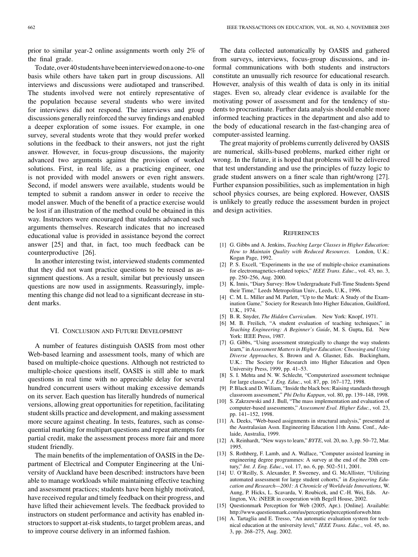prior to similar year-2 online assignments worth only 2% of the final grade.

Todate,over40studentshavebeeninterviewedonaone-to-one basis while others have taken part in group discussions. All interviews and discussions were audiotaped and transcribed. The students involved were not entirely representative of the population because several students who were invited for interviews did not respond. The interviews and group discussions generally reinforced the survey findings and enabled a deeper exploration of some issues. For example, in one survey, several students wrote that they would prefer worked solutions in the feedback to their answers, not just the right answer. However, in focus-group discussions, the majority advanced two arguments against the provision of worked solutions. First, in real life, as a practicing engineer, one is not provided with model answers or even right answers. Second, if model answers were available, students would be tempted to submit a random answer in order to receive the model answer. Much of the benefit of a practice exercise would be lost if an illustration of the method could be obtained in this way. Instructors were encouraged that students advanced such arguments themselves. Research indicates that no increased educational value is provided in assistance beyond the correct answer [25] and that, in fact, too much feedback can be counterproductive [26].

In another interesting twist, interviewed students commented that they did not want practice questions to be reused as assignment questions. As a result, similar but previously unseen questions are now used in assignments. Reassuringly, implementing this change did not lead to a significant decrease in student marks.

### VI. CONCLUSION AND FUTURE DEVELOPMENT

A number of features distinguish OASIS from most other Web-based learning and assessment tools, many of which are based on multiple-choice questions. Although not restricted to multiple-choice questions itself, OASIS is still able to mark questions in real time with no appreciable delay for several hundred concurrent users without making excessive demands on its server. Each question has literally hundreds of numerical versions, allowing great opportunities for repetition, facilitating student skills practice and development, and making assessment more secure against cheating. In tests, features, such as consequential marking for multipart questions and repeat attempts for partial credit, make the assessment process more fair and more student friendly.

The main benefits of the implementation of OASIS in the Department of Electrical and Computer Engineering at the University of Auckland have been described: instructors have been able to manage workloads while maintaining effective teaching and assessment practices; students have been highly motivated, have received regular and timely feedback on their progress, and have lifted their achievement levels. The feedback provided to instructors on student performance and activity has enabled instructors to support at-risk students, to target problem areas, and to improve course delivery in an informed fashion.

The data collected automatically by OASIS and gathered from surveys, interviews, focus-group discussions, and informal communications with both students and instructors constitute an unusually rich resource for educational research. However, analysis of this wealth of data is only in its initial stages. Even so, already clear evidence is available for the motivating power of assessment and for the tendency of students to procrastinate. Further data analysis should enable more informed teaching practices in the department and also add to the body of educational research in the fast-changing area of computer-assisted learning.

The great majority of problems currently delivered by OASIS are numerical, skills-based problems, marked either right or wrong. In the future, it is hoped that problems will be delivered that test understanding and use the principles of fuzzy logic to grade student answers on a finer scale than right/wrong [27]. Further expansion possibilities, such as implementation in high school physics courses, are being explored. However, OASIS is unlikely to greatly reduce the assessment burden in project and design activities.

#### **REFERENCES**

- [1] G. Gibbs and A. Jenkins, *Teaching Large Classes in Higher Education: How to Maintain Quality with Reduced Resources*. London, U.K.: Kogan Page, 1992.
- [2] P. S. Excell, "Experiments in the use of multiple-choice examinations for electromagnetics-related topics," *IEEE Trans. Educ.*, vol. 43, no. 3, pp. 250–256, Aug. 2000.
- [3] K. Innis, "Diary Survey: How Undergraduate Full-Time Students Spend their Time," Leeds Metropolitan Univ., Leeds, U.K., 1996.
- [4] C. M. L. Miller and M. Parlett, "Up to the Mark: A Study of the Examination Game," Society for Research Into Higher Education, Guildford, U.K., 1974.
- [5] B. R. Snyder, *The Hidden Curriculum*. New York: Knopf, 1971.
- [6] M. B. Freilich, "A student evaluation of teaching techniques," in *Teaching Engineering: A Beginner's Guide*, M. S. Gupta, Ed. New York: IEEE Press, 1987.
- [7] G. Gibbs, "Using assessment strategically to change the way students learn," in *Assessment Matters in Higher Education: Choosing and Using Diverse Approaches*, S. Brown and A. Glasner, Eds. Buckingham, U.K.: The Society for Research into Higher Education and Open University Press, 1999, pp. 41–53.
- [8] S. I. Mehta and N. W. Schlecht, "Computerized assessment technique for large classes," *J. Eng. Educ.*, vol. 87, pp. 167–172, 1998.
- [9] P. Black and D. Wiliam, "Inside the black box: Raising standards through classroom assessment," *Phi Delta Kappan*, vol. 80, pp. 139–148, 1998.
- [10] S. Zakrzewski and J. Bull, "The mass implementation and evaluation of computer-based assessments," *Assessment Eval. Higher Educ.*, vol. 23, pp. 141–152, 1998.
- [11] A. Deeks, "Web-based assignments in structural analysis," presented at the Australasian Assn. Engineering Education 11th Annu. Conf., Adelaide, Australia, 1999.
- [12] A. Reinhardt, "New ways to learn," *BYTE*, vol. 20, no. 3, pp. 50–72, Mar. 1995.
- [13] S. Rothberg, F. Lamb, and A. Wallace, "Computer assisted learning in engineering degree programmes: A survey at the end of the 20th century," *Int. J. Eng. Educ.*, vol. 17, no. 6, pp. 502–511, 2001.
- [14] U. O'Reilly, S. Alexander, P. Sweeney, and G. McAllister, "Utilizing automated assessment for large student cohorts," in *Engineering Education and Research—2001: A Chronicle of Worldwide Innovations*, W. Aung, P. Hicks, L. Scavarda, V. Roubicek, and C.-H. Wei, Eds. Arlington, VA: iNEER in cooperation with Begell House, 2002.
- [15] Questionmark Perception for Web (2005, Apr.). [Online]. Available: http://www.questionmark.com/us/perception/perceptionforweb.htm
- [16] A. Tartaglia and E. Tresso, "An automatic evaluation system for technical education at the university level," *IEEE Trans. Educ.*, vol. 45, no. 3, pp. 268–275, Aug. 2002.